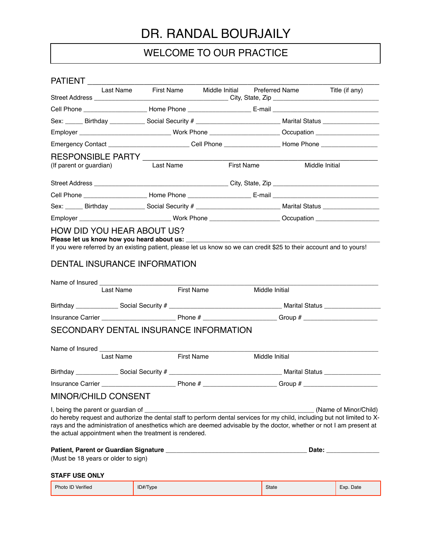# DR. RANDAL BOURJAILY

# WELCOME TO OUR PRACTICE

| PATIENT                                                                                                                                                                                                                                                                                                                                          |                      |            |                               |                       |
|--------------------------------------------------------------------------------------------------------------------------------------------------------------------------------------------------------------------------------------------------------------------------------------------------------------------------------------------------|----------------------|------------|-------------------------------|-----------------------|
|                                                                                                                                                                                                                                                                                                                                                  | Last Name First Name |            | Middle Initial Preferred Name | Title (if any)        |
|                                                                                                                                                                                                                                                                                                                                                  |                      |            |                               |                       |
| Sex: ______ Birthday ____________ Social Security # ____________________________ Marital Status ______________                                                                                                                                                                                                                                   |                      |            |                               |                       |
|                                                                                                                                                                                                                                                                                                                                                  |                      |            |                               |                       |
| Emergency Contact ____________________________Cell Phone ____________________Home Phone _____________________                                                                                                                                                                                                                                    |                      |            |                               |                       |
|                                                                                                                                                                                                                                                                                                                                                  |                      |            |                               |                       |
| (If parent or guardian)                                                                                                                                                                                                                                                                                                                          | Last Name            | First Name |                               | Middle Initial        |
|                                                                                                                                                                                                                                                                                                                                                  |                      |            |                               |                       |
|                                                                                                                                                                                                                                                                                                                                                  |                      |            |                               |                       |
| Sex: _____ Birthday ____________ Social Security # _____________________________ Marital Status _______________                                                                                                                                                                                                                                  |                      |            |                               |                       |
| Employer _______________________________Work Phone ________________________Occupation ____________________                                                                                                                                                                                                                                       |                      |            |                               |                       |
| <b>DENTAL INSURANCE INFORMATION</b><br>Name of Insured Name of Insured                                                                                                                                                                                                                                                                           |                      |            |                               |                       |
| Last Name                                                                                                                                                                                                                                                                                                                                        | <b>First Name</b>    |            | Middle Initial                |                       |
|                                                                                                                                                                                                                                                                                                                                                  |                      |            |                               |                       |
|                                                                                                                                                                                                                                                                                                                                                  |                      |            |                               |                       |
| SECONDARY DENTAL INSURANCE INFORMATION<br>Last Name                                                                                                                                                                                                                                                                                              | First Name           |            | Middle Initial                |                       |
|                                                                                                                                                                                                                                                                                                                                                  |                      |            |                               |                       |
|                                                                                                                                                                                                                                                                                                                                                  |                      |            |                               |                       |
|                                                                                                                                                                                                                                                                                                                                                  |                      |            |                               |                       |
| <b>MINOR/CHILD CONSENT</b>                                                                                                                                                                                                                                                                                                                       |                      |            |                               |                       |
| I, being the parent or guardian of<br>do hereby request and authorize the dental staff to perform dental services for my child, including but not limited to X-<br>rays and the administration of anesthetics which are deemed advisable by the doctor, whether or not I am present at<br>the actual appointment when the treatment is rendered. |                      |            |                               | (Name of Minor/Child) |
| (Must be 18 years or older to sign)                                                                                                                                                                                                                                                                                                              |                      |            |                               | Date: <u>Date:</u>    |

## **STAFF USE ONLY**

| Photo ID Verified | ID#/Type | State | Exp. Date |
|-------------------|----------|-------|-----------|
|-------------------|----------|-------|-----------|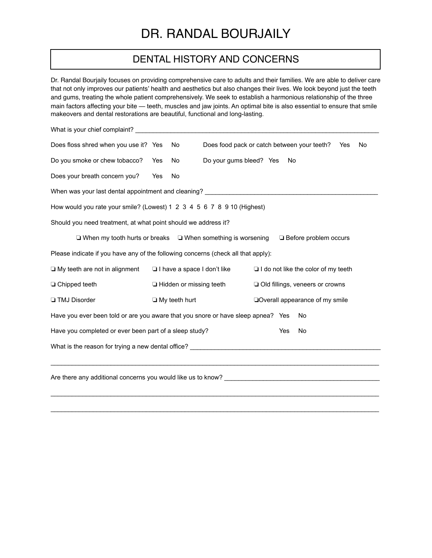# DR. RANDAL BOURJAILY

## DENTAL HISTORY AND CONCERNS

Dr. Randal Bourjaily focuses on providing comprehensive care to adults and their families. We are able to deliver care that not only improves our patients' health and aesthetics but also changes their lives. We look beyond just the teeth and gums, treating the whole patient comprehensively. We seek to establish a harmonious relationship of the three main factors affecting your bite — teeth, muscles and jaw joints. An optimal bite is also essential to ensure that smile makeovers and dental restorations are beautiful, functional and long-lasting.

| Does floss shred when you use it? Yes                                                                                                                                                                                          |            | No.                            | Does food pack or catch between your teeth? |  |    |                                            | Yes | No |
|--------------------------------------------------------------------------------------------------------------------------------------------------------------------------------------------------------------------------------|------------|--------------------------------|---------------------------------------------|--|----|--------------------------------------------|-----|----|
| Do you smoke or chew tobacco?                                                                                                                                                                                                  | <b>Yes</b> | No.                            | Do your gums bleed? Yes                     |  | No |                                            |     |    |
| Does your breath concern you?                                                                                                                                                                                                  | Yes        | No                             |                                             |  |    |                                            |     |    |
| When was your last dental appointment and cleaning? ____________________________                                                                                                                                               |            |                                |                                             |  |    |                                            |     |    |
| How would you rate your smile? (Lowest) 1 2 3 4 5 6 7 8 9 10 (Highest)                                                                                                                                                         |            |                                |                                             |  |    |                                            |     |    |
| Should you need treatment, at what point should we address it?                                                                                                                                                                 |            |                                |                                             |  |    |                                            |     |    |
| $\Box$ When my tooth hurts or breaks $\Box$ When something is worsening                                                                                                                                                        |            |                                |                                             |  |    | □ Before problem occurs                    |     |    |
| Please indicate if you have any of the following concerns (check all that apply):                                                                                                                                              |            |                                |                                             |  |    |                                            |     |    |
| $\Box$ My teeth are not in alignment                                                                                                                                                                                           |            |                                | I have a space I don't like                 |  |    | $\Box$ I do not like the color of my teeth |     |    |
| □ Chipped teeth                                                                                                                                                                                                                |            | $\Box$ Hidden or missing teeth |                                             |  |    | □ Old fillings, veneers or crowns          |     |    |
| <b>TMJ</b> Disorder                                                                                                                                                                                                            |            | $\Box$ My teeth hurt           |                                             |  |    | Overall appearance of my smile             |     |    |
| Have you ever been told or are you aware that you snore or have sleep apnea? Yes                                                                                                                                               |            |                                |                                             |  |    | No                                         |     |    |
| Have you completed or ever been part of a sleep study?<br>Yes<br>No                                                                                                                                                            |            |                                |                                             |  |    |                                            |     |    |
| What is the reason for trying a new dental office? Letterman the control of the state of the state of the state of the state of the state of the state of the state of the state of the state of the state of the state of the |            |                                |                                             |  |    |                                            |     |    |
|                                                                                                                                                                                                                                |            |                                |                                             |  |    |                                            |     |    |
| Are there any additional concerns you would like us to know? ____________________                                                                                                                                              |            |                                |                                             |  |    |                                            |     |    |
|                                                                                                                                                                                                                                |            |                                |                                             |  |    |                                            |     |    |

 $\mathcal{L}_\mathcal{L} = \mathcal{L}_\mathcal{L} = \mathcal{L}_\mathcal{L} = \mathcal{L}_\mathcal{L} = \mathcal{L}_\mathcal{L} = \mathcal{L}_\mathcal{L} = \mathcal{L}_\mathcal{L} = \mathcal{L}_\mathcal{L} = \mathcal{L}_\mathcal{L} = \mathcal{L}_\mathcal{L} = \mathcal{L}_\mathcal{L} = \mathcal{L}_\mathcal{L} = \mathcal{L}_\mathcal{L} = \mathcal{L}_\mathcal{L} = \mathcal{L}_\mathcal{L} = \mathcal{L}_\mathcal{L} = \mathcal{L}_\mathcal{L}$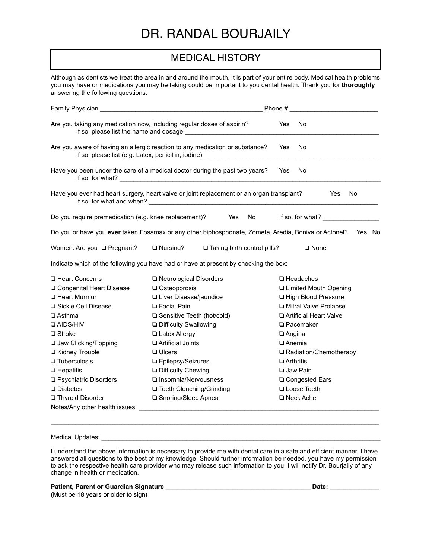# DR. RANDAL BOURJAILY

# MEDICAL HISTORY

Although as dentists we treat the area in and around the mouth, it is part of your entire body. Medical health problems you may have or medications you may be taking could be important to you dental health. Thank you for **thoroughly**  answering the following questions.

| Family Physician                                          |                                                                                                                                                                  | Phone#                   |
|-----------------------------------------------------------|------------------------------------------------------------------------------------------------------------------------------------------------------------------|--------------------------|
|                                                           | Are you taking any medication now, including regular doses of aspirin?                                                                                           | Yes<br>No.               |
|                                                           | Are you aware of having an allergic reaction to any medication or substance?<br>If so, please list (e.g. Latex, penicillin, iodine) ____________________________ | No<br>Yes                |
|                                                           | Have you been under the care of a medical doctor during the past two years?                                                                                      | No<br>Yes                |
|                                                           | Have you ever had heart surgery, heart valve or joint replacement or an organ transplant?                                                                        | No<br>Yes                |
| Do you require premedication (e.g. knee replacement)? Yes | No.                                                                                                                                                              | If so, for what?         |
|                                                           | Do you or have you ever taken Fosamax or any other biphosphonate, Zometa, Aredia, Boniva or Actonel?                                                             | Yes No                   |
| Women: Are you <b>Q</b> Pregnant?                         | $\Box$ Nursing?<br>$\Box$ Taking birth control pills?                                                                                                            | $\Box$ None              |
|                                                           | Indicate which of the following you have had or have at present by checking the box:                                                                             |                          |
| □ Heart Concerns                                          | □ Neurological Disorders                                                                                                                                         | □ Headaches              |
| □ Congenital Heart Disease                                | Osteoporosis                                                                                                                                                     | Limited Mouth Opening    |
| <b>El Heart Murmur</b>                                    | Liver Disease/jaundice                                                                                                                                           | High Blood Pressure      |
| Sickle Cell Disease                                       | <b>Exercial Pain</b>                                                                                                                                             | I Mitral Valve Prolapse  |
| $\Box$ Asthma                                             | □ Sensitive Teeth (hot/cold)                                                                                                                                     | Artificial Heart Valve   |
| <b>QAIDS/HIV</b>                                          | <b>Difficulty Swallowing</b>                                                                                                                                     | <b>D</b> Pacemaker       |
| □ Stroke                                                  | Latex Allergy                                                                                                                                                    | <b>Langina</b>           |
| Jaw Clicking/Popping                                      | Artificial Joints                                                                                                                                                | □ Anemia                 |
| Kidney Trouble                                            | <b>Q</b> Ulcers                                                                                                                                                  | □ Radiation/Chemotherapy |
| <b>Tuberculosis</b>                                       | □ Epilepsy/Seizures                                                                                                                                              | <b>D</b> Arthritis       |
| $\Box$ Hepatitis                                          | <b>Difficulty Chewing</b>                                                                                                                                        | <b>Jaw Pain</b>          |
| □ Psychiatric Disorders                                   | □ Insomnia/Nervousness                                                                                                                                           | □ Congested Ears         |
| $\Box$ Diabetes                                           | □ Teeth Clenching/Grinding                                                                                                                                       | Loose Teeth              |
| Thyroid Disorder                                          | □ Snoring/Sleep Apnea                                                                                                                                            | □ Neck Ache              |
| Notes/Any other health issues:                            |                                                                                                                                                                  |                          |

### Medical Updates: \_\_\_\_\_\_

I understand the above information is necessary to provide me with dental care in a safe and efficient manner. I have answered all questions to the best of my knowledge. Should further information be needed, you have my permission to ask the respective health care provider who may release such information to you. I will notify Dr. Bourjaily of any change in health or medication.

 $\mathcal{L}_\mathcal{L} = \mathcal{L}_\mathcal{L} = \mathcal{L}_\mathcal{L} = \mathcal{L}_\mathcal{L} = \mathcal{L}_\mathcal{L} = \mathcal{L}_\mathcal{L} = \mathcal{L}_\mathcal{L} = \mathcal{L}_\mathcal{L} = \mathcal{L}_\mathcal{L} = \mathcal{L}_\mathcal{L} = \mathcal{L}_\mathcal{L} = \mathcal{L}_\mathcal{L} = \mathcal{L}_\mathcal{L} = \mathcal{L}_\mathcal{L} = \mathcal{L}_\mathcal{L} = \mathcal{L}_\mathcal{L} = \mathcal{L}_\mathcal{L}$ 

## **Patient, Parent or Guardian Signature \_\_\_\_\_\_\_\_\_\_\_\_\_\_\_\_\_\_\_\_\_\_\_\_\_\_\_\_\_\_\_\_\_\_\_\_\_\_\_\_\_ Date: \_\_\_\_\_\_\_\_\_\_\_\_\_\_**

(Must be 18 years or older to sign)